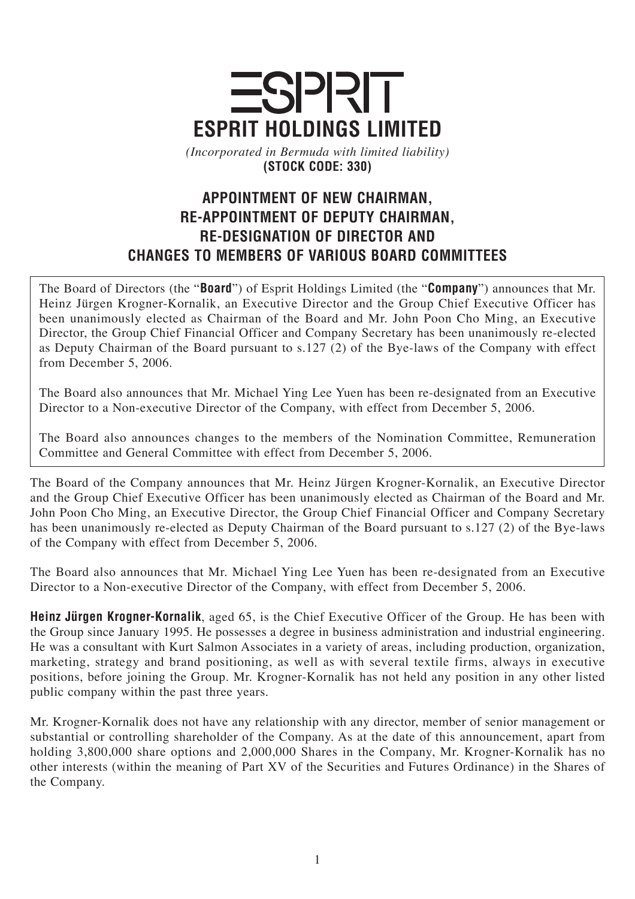

*(Incorporated in Bermuda with limited liability)* **(STOCK CODE: 330)**

## **APPOINTMENT OF NEW CHAIRMAN, RE-APPOINTMENT OF DEPUTY CHAIRMAN, RE-DESIGNATION OF DIRECTOR AND CHANGES TO MEMBERS OF VARIOUS BOARD COMMITTEES**

The Board of Directors (the "**Board**") of Esprit Holdings Limited (the "**Company**") announces that Mr. Heinz Jürgen Krogner-Kornalik, an Executive Director and the Group Chief Executive Officer has been unanimously elected as Chairman of the Board and Mr. John Poon Cho Ming, an Executive Director, the Group Chief Financial Officer and Company Secretary has been unanimously re-elected as Deputy Chairman of the Board pursuant to s.127 (2) of the Bye-laws of the Company with effect from December 5, 2006.

The Board also announces that Mr. Michael Ying Lee Yuen has been re-designated from an Executive Director to a Non-executive Director of the Company, with effect from December 5, 2006.

The Board also announces changes to the members of the Nomination Committee, Remuneration Committee and General Committee with effect from December 5, 2006.

The Board of the Company announces that Mr. Heinz Jürgen Krogner-Kornalik, an Executive Director and the Group Chief Executive Officer has been unanimously elected as Chairman of the Board and Mr. John Poon Cho Ming, an Executive Director, the Group Chief Financial Officer and Company Secretary has been unanimously re-elected as Deputy Chairman of the Board pursuant to s.127 (2) of the Bye-laws of the Company with effect from December 5, 2006.

The Board also announces that Mr. Michael Ying Lee Yuen has been re-designated from an Executive Director to a Non-executive Director of the Company, with effect from December 5, 2006.

**Heinz Jürgen Krogner-Kornalik**, aged 65, is the Chief Executive Officer of the Group. He has been with the Group since January 1995. He possesses a degree in business administration and industrial engineering. He was a consultant with Kurt Salmon Associates in a variety of areas, including production, organization, marketing, strategy and brand positioning, as well as with several textile firms, always in executive positions, before joining the Group. Mr. Krogner-Kornalik has not held any position in any other listed public company within the past three years.

Mr. Krogner-Kornalik does not have any relationship with any director, member of senior management or substantial or controlling shareholder of the Company. As at the date of this announcement, apart from holding 3,800,000 share options and 2,000,000 Shares in the Company, Mr. Krogner-Kornalik has no other interests (within the meaning of Part XV of the Securities and Futures Ordinance) in the Shares of the Company.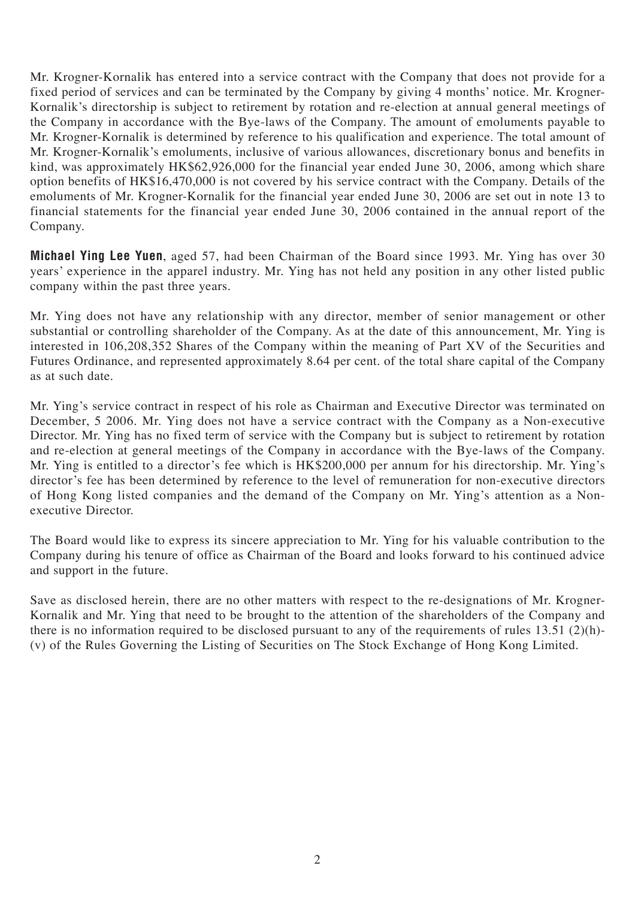Mr. Krogner-Kornalik has entered into a service contract with the Company that does not provide for a fixed period of services and can be terminated by the Company by giving 4 months' notice. Mr. Krogner-Kornalik's directorship is subject to retirement by rotation and re-election at annual general meetings of the Company in accordance with the Bye-laws of the Company. The amount of emoluments payable to Mr. Krogner-Kornalik is determined by reference to his qualification and experience. The total amount of Mr. Krogner-Kornalik's emoluments, inclusive of various allowances, discretionary bonus and benefits in kind, was approximately HK\$62,926,000 for the financial year ended June 30, 2006, among which share option benefits of HK\$16,470,000 is not covered by his service contract with the Company. Details of the emoluments of Mr. Krogner-Kornalik for the financial year ended June 30, 2006 are set out in note 13 to financial statements for the financial year ended June 30, 2006 contained in the annual report of the Company.

**Michael Ying Lee Yuen**, aged 57, had been Chairman of the Board since 1993. Mr. Ying has over 30 years' experience in the apparel industry. Mr. Ying has not held any position in any other listed public company within the past three years.

Mr. Ying does not have any relationship with any director, member of senior management or other substantial or controlling shareholder of the Company. As at the date of this announcement, Mr. Ying is interested in 106,208,352 Shares of the Company within the meaning of Part XV of the Securities and Futures Ordinance, and represented approximately 8.64 per cent. of the total share capital of the Company as at such date.

Mr. Ying's service contract in respect of his role as Chairman and Executive Director was terminated on December, 5 2006. Mr. Ying does not have a service contract with the Company as a Non-executive Director. Mr. Ying has no fixed term of service with the Company but is subject to retirement by rotation and re-election at general meetings of the Company in accordance with the Bye-laws of the Company. Mr. Ying is entitled to a director's fee which is HK\$200,000 per annum for his directorship. Mr. Ying's director's fee has been determined by reference to the level of remuneration for non-executive directors of Hong Kong listed companies and the demand of the Company on Mr. Ying's attention as a Nonexecutive Director.

The Board would like to express its sincere appreciation to Mr. Ying for his valuable contribution to the Company during his tenure of office as Chairman of the Board and looks forward to his continued advice and support in the future.

Save as disclosed herein, there are no other matters with respect to the re-designations of Mr. Krogner-Kornalik and Mr. Ying that need to be brought to the attention of the shareholders of the Company and there is no information required to be disclosed pursuant to any of the requirements of rules 13.51 (2)(h)-(v) of the Rules Governing the Listing of Securities on The Stock Exchange of Hong Kong Limited.